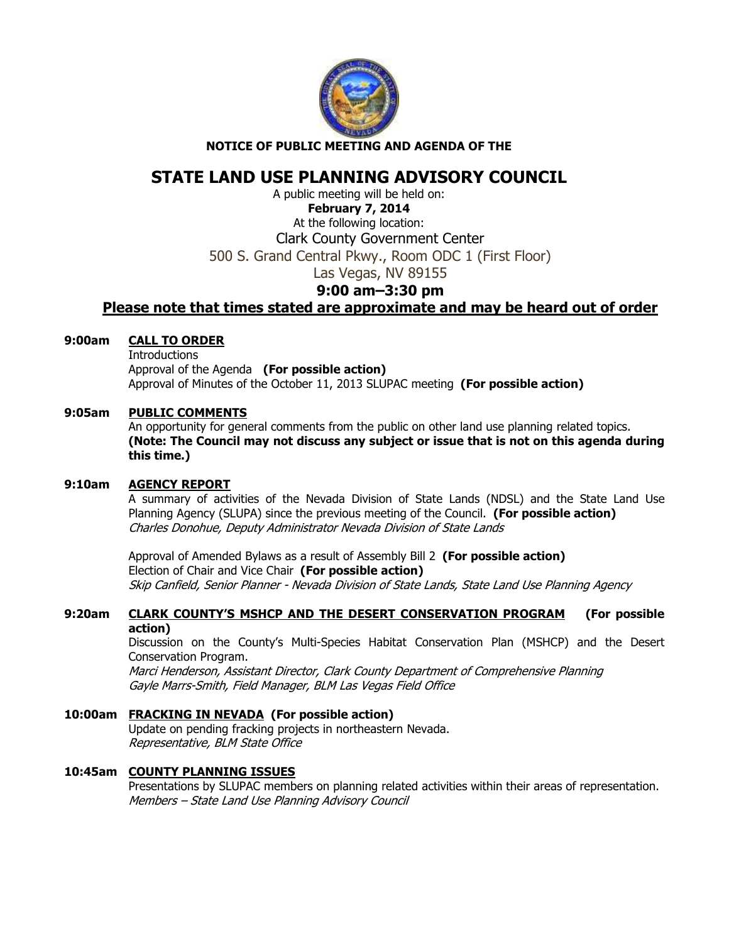

#### **NOTICE OF PUBLIC MEETING AND AGENDA OF THE**

# **STATE LAND USE PLANNING ADVISORY COUNCIL**

A public meeting will be held on: **February 7, 2014**  At the following location: Clark County Government Center 500 S. Grand Central Pkwy., Room ODC 1 (First Floor) Las Vegas, NV 89155

## **9:00 am–3:30 pm**

## **Please note that times stated are approximate and may be heard out of order**

#### **9:00am CALL TO ORDER**

**Introductions**  Approval of the Agenda **(For possible action)** Approval of Minutes of the October 11, 2013 SLUPAC meeting **(For possible action)** 

### **9:05am PUBLIC COMMENTS**

An opportunity for general comments from the public on other land use planning related topics. **(Note: The Council may not discuss any subject or issue that is not on this agenda during this time.)** 

#### **9:10am AGENCY REPORT**

A summary of activities of the Nevada Division of State Lands (NDSL) and the State Land Use Planning Agency (SLUPA) since the previous meeting of the Council. **(For possible action)** Charles Donohue, Deputy Administrator Nevada Division of State Lands

Approval of Amended Bylaws as a result of Assembly Bill 2 **(For possible action)** Election of Chair and Vice Chair **(For possible action)** Skip Canfield, Senior Planner - Nevada Division of State Lands, State Land Use Planning Agency

## **9:20am CLARK COUNTY'S MSHCP AND THE DESERT CONSERVATION PROGRAM (For possible action)**

Discussion on the County's Multi-Species Habitat Conservation Plan (MSHCP) and the Desert Conservation Program.

Marci Henderson, Assistant Director, Clark County Department of Comprehensive Planning Gayle Marrs-Smith, Field Manager, BLM Las Vegas Field Office

## **10:00am FRACKING IN NEVADA (For possible action)**

Update on pending fracking projects in northeastern Nevada. Representative, BLM State Office

## **10:45am COUNTY PLANNING ISSUES**

Presentations by SLUPAC members on planning related activities within their areas of representation. Members – State Land Use Planning Advisory Council